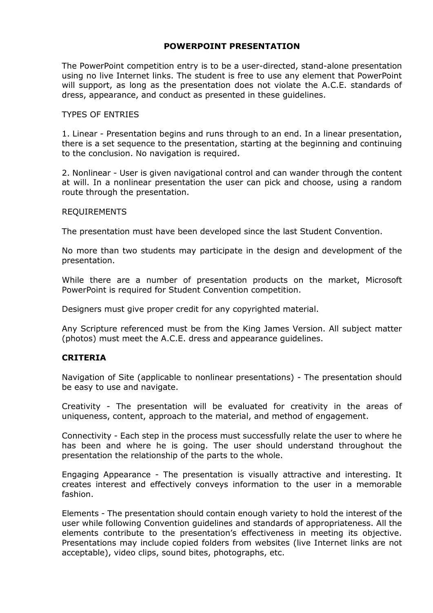# **POWERPOINT PRESENTATION**

The PowerPoint competition entry is to be a user-directed, stand-alone presentation using no live Internet links. The student is free to use any element that PowerPoint will support, as long as the presentation does not violate the A.C.E. standards of dress, appearance, and conduct as presented in these guidelines.

#### TYPES OF ENTRIES

1. Linear - Presentation begins and runs through to an end. In a linear presentation, there is a set sequence to the presentation, starting at the beginning and continuing to the conclusion. No navigation is required.

2. Nonlinear - User is given navigational control and can wander through the content at will. In a nonlinear presentation the user can pick and choose, using a random route through the presentation.

### REQUIREMENTS

The presentation must have been developed since the last Student Convention.

No more than two students may participate in the design and development of the presentation.

While there are a number of presentation products on the market, Microsoft PowerPoint is required for Student Convention competition.

Designers must give proper credit for any copyrighted material.

Any Scripture referenced must be from the King James Version. All subject matter (photos) must meet the A.C.E. dress and appearance guidelines.

### **CRITERIA**

Navigation of Site (applicable to nonlinear presentations) - The presentation should be easy to use and navigate.

Creativity - The presentation will be evaluated for creativity in the areas of uniqueness, content, approach to the material, and method of engagement.

Connectivity - Each step in the process must successfully relate the user to where he has been and where he is going. The user should understand throughout the presentation the relationship of the parts to the whole.

Engaging Appearance - The presentation is visually attractive and interesting. It creates interest and effectively conveys information to the user in a memorable fashion.

Elements - The presentation should contain enough variety to hold the interest of the user while following Convention guidelines and standards of appropriateness. All the elements contribute to the presentation's effectiveness in meeting its objective. Presentations may include copied folders from websites (live Internet links are not acceptable), video clips, sound bites, photographs, etc.